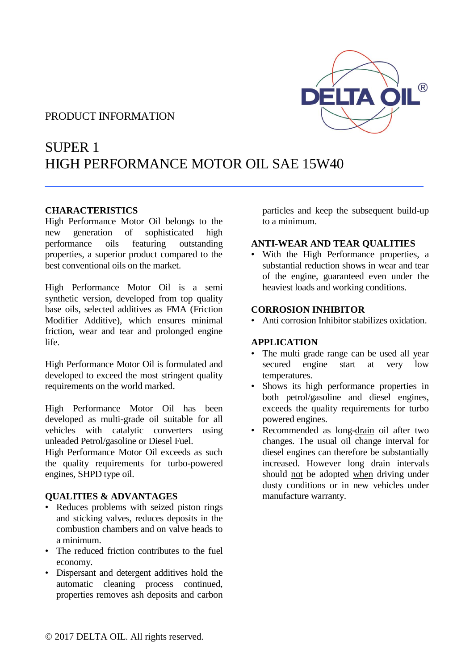## PRODUCT INFORMATION



# SUPER 1 HIGH PERFORMANCE MOTOR OIL SAE 15W40

 $\_$  . The contract of the contract of the contract of the contract of the contract of the contract of the contract of the contract of the contract of the contract of the contract of the contract of the contract of the con

## **CHARACTERISTICS**

High Performance Motor Oil belongs to the new generation of sophisticated high performance oils featuring outstanding properties, a superior product compared to the best conventional oils on the market.

High Performance Motor Oil is a semi synthetic version, developed from top quality base oils, selected additives as FMA (Friction Modifier Additive), which ensures minimal friction, wear and tear and prolonged engine life.

High Performance Motor Oil is formulated and developed to exceed the most stringent quality requirements on the world marked.

High Performance Motor Oil has been developed as multi-grade oil suitable for all vehicles with catalytic converters using unleaded Petrol/gasoline or Diesel Fuel.

High Performance Motor Oil exceeds as such the quality requirements for turbo-powered engines, SHPD type oil.

### **QUALITIES & ADVANTAGES**

- Reduces problems with seized piston rings and sticking valves, reduces deposits in the combustion chambers and on valve heads to a minimum.
- The reduced friction contributes to the fuel economy.
- Dispersant and detergent additives hold the automatic cleaning process continued, properties removes ash deposits and carbon

particles and keep the subsequent build-up to a minimum.

### **ANTI-WEAR AND TEAR QUALITIES**

• With the High Performance properties, a substantial reduction shows in wear and tear of the engine, guaranteed even under the heaviest loads and working conditions.

### **CORROSION INHIBITOR**

• Anti corrosion Inhibitor stabilizes oxidation.

## **APPLICATION**

- The multi grade range can be used all year secured engine start at very low temperatures.
- Shows its high performance properties in both petrol/gasoline and diesel engines, exceeds the quality requirements for turbo powered engines.
- Recommended as long-drain oil after two changes. The usual oil change interval for diesel engines can therefore be substantially increased. However long drain intervals should not be adopted when driving under dusty conditions or in new vehicles under manufacture warranty.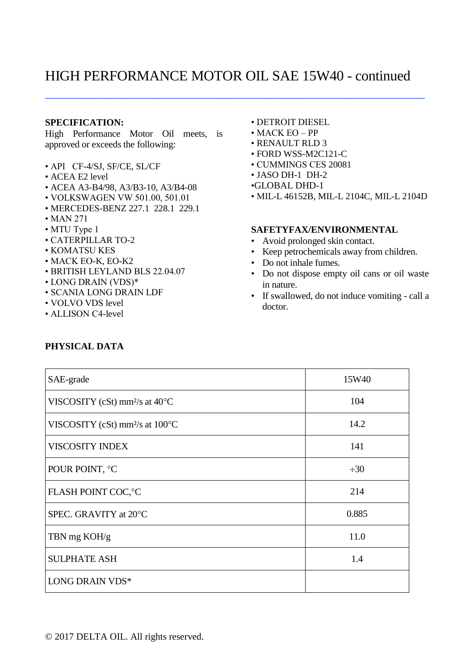## HIGH PERFORMANCE MOTOR OIL SAE 15W40 - continued

 $\_$  , and the set of the set of the set of the set of the set of the set of the set of the set of the set of the set of the set of the set of the set of the set of the set of the set of the set of the set of the set of th

#### **SPECIFICATION:**

High Performance Motor Oil meets, is approved or exceeds the following:

- API CF-4/SJ, SF/CE, SL/CF
- ACEA E2 level
- ACEA A3-B4/98, A3/B3-10, A3/B4-08
- VOLKSWAGEN VW 501.00, 501.01
- MERCEDES-BENZ 227.1 228.1 229.1
- MAN 271
- MTU Type 1
- CATERPILLAR TO-2
- KOMATSU KES
- MACK EO-K, EO-K2
- BRITISH LEYLAND BLS 22.04.07
- LONG DRAIN (VDS)\*
- SCANIA LONG DRAIN LDF
- VOLVO VDS level
- ALLISON C4-level
- DETROIT DIESEL • MACK EO – PP
- RENAULT RLD 3
- FORD WSS-M2C121-C
- CUMMINGS CES 20081
- JASO DH-1 DH-2
- •GLOBAL DHD-1
- MIL-L 46152B, MIL-L 2104C, MIL-L 2104D

#### **SAFETYFAX/ENVIRONMENTAL**

- Avoid prolonged skin contact.
- Keep petrochemicals away from children.
- Do not inhale fumes.
- Do not dispose empty oil cans or oil waste in nature.
- If swallowed, do not induce vomiting call a doctor.

| SAE-grade                                  | 15W40     |
|--------------------------------------------|-----------|
| VISCOSITY (cSt) mm <sup>2</sup> /s at 40°C | 104       |
| VISCOSITY (cSt) mm $\frac{2}{s}$ at 100 °C | 14.2      |
| <b>VISCOSITY INDEX</b>                     | 141       |
| POUR POINT, °C                             | $\div 30$ |
| FLASH POINT COC, °C                        | 214       |
| SPEC. GRAVITY at 20°C                      | 0.885     |
| TBN mg KOH/g                               | 11.0      |
| <b>SULPHATE ASH</b>                        | 1.4       |
| LONG DRAIN VDS*                            |           |

## **PHYSICAL DATA**